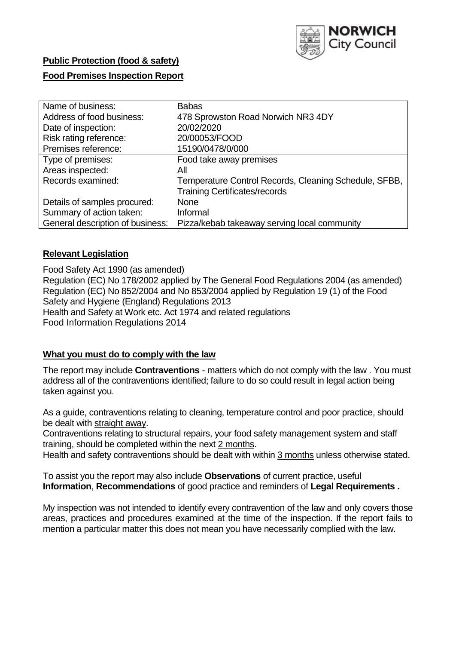

# **Public Protection (food & safety)**

# **Food Premises Inspection Report**

| Name of business:                | <b>Babas</b>                                          |
|----------------------------------|-------------------------------------------------------|
| Address of food business:        | 478 Sprowston Road Norwich NR3 4DY                    |
| Date of inspection:              | 20/02/2020                                            |
| Risk rating reference:           | 20/00053/FOOD                                         |
| Premises reference:              | 15190/0478/0/000                                      |
| Type of premises:                | Food take away premises                               |
| Areas inspected:                 | All                                                   |
| Records examined:                | Temperature Control Records, Cleaning Schedule, SFBB, |
|                                  | <b>Training Certificates/records</b>                  |
| Details of samples procured:     | None                                                  |
| Summary of action taken:         | Informal                                              |
| General description of business: | Pizza/kebab takeaway serving local community          |

# **Relevant Legislation**

Food Safety Act 1990 (as amended) Regulation (EC) No 178/2002 applied by The General Food Regulations 2004 (as amended) Regulation (EC) No 852/2004 and No 853/2004 applied by Regulation 19 (1) of the Food Safety and Hygiene (England) Regulations 2013 Health and Safety at Work etc. Act 1974 and related regulations Food Information Regulations 2014

# **What you must do to comply with the law**

The report may include **Contraventions** - matters which do not comply with the law . You must address all of the contraventions identified; failure to do so could result in legal action being taken against you.

As a guide, contraventions relating to cleaning, temperature control and poor practice, should be dealt with straight away.

Contraventions relating to structural repairs, your food safety management system and staff training, should be completed within the next 2 months.

Health and safety contraventions should be dealt with within 3 months unless otherwise stated.

To assist you the report may also include **Observations** of current practice, useful **Information**, **Recommendations** of good practice and reminders of **Legal Requirements .**

My inspection was not intended to identify every contravention of the law and only covers those areas, practices and procedures examined at the time of the inspection. If the report fails to mention a particular matter this does not mean you have necessarily complied with the law.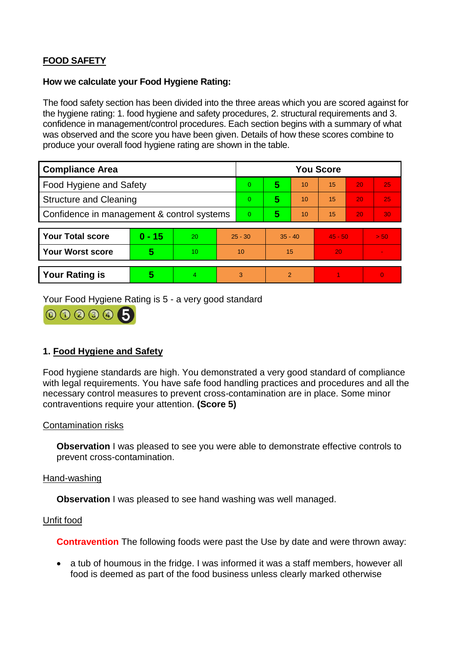# **FOOD SAFETY**

### **How we calculate your Food Hygiene Rating:**

The food safety section has been divided into the three areas which you are scored against for the hygiene rating: 1. food hygiene and safety procedures, 2. structural requirements and 3. confidence in management/control procedures. Each section begins with a summary of what was observed and the score you have been given. Details of how these scores combine to produce your overall food hygiene rating are shown in the table.

| <b>Compliance Area</b>                     |          |    |                | <b>You Score</b> |                |    |           |    |          |  |  |
|--------------------------------------------|----------|----|----------------|------------------|----------------|----|-----------|----|----------|--|--|
| Food Hygiene and Safety                    |          |    | $\Omega$       | 5                | 10             | 15 | 20        | 25 |          |  |  |
| <b>Structure and Cleaning</b>              |          |    | $\Omega$       | 5                | 10             | 15 | 20        | 25 |          |  |  |
| Confidence in management & control systems |          |    | $\overline{0}$ | 5                | 10             | 15 | 20        | 30 |          |  |  |
|                                            |          |    |                |                  |                |    |           |    |          |  |  |
| <b>Your Total score</b>                    | $0 - 15$ | 20 | $25 - 30$      |                  | $35 - 40$      |    | $45 - 50$ |    | > 50     |  |  |
| <b>Your Worst score</b>                    | 5        | 10 | 10             |                  | 15             |    | 20        |    |          |  |  |
|                                            |          |    |                |                  |                |    |           |    |          |  |  |
| <b>Your Rating is</b>                      | 5        | 4. | 3              |                  | $\overline{2}$ |    |           |    | $\Omega$ |  |  |

Your Food Hygiene Rating is 5 - a very good standard



# **1. Food Hygiene and Safety**

Food hygiene standards are high. You demonstrated a very good standard of compliance with legal requirements. You have safe food handling practices and procedures and all the necessary control measures to prevent cross-contamination are in place. Some minor contraventions require your attention. **(Score 5)**

# Contamination risks

**Observation** I was pleased to see you were able to demonstrate effective controls to prevent cross-contamination.

#### Hand-washing

**Observation** I was pleased to see hand washing was well managed.

#### Unfit food

**Contravention** The following foods were past the Use by date and were thrown away:

 a tub of houmous in the fridge. I was informed it was a staff members, however all food is deemed as part of the food business unless clearly marked otherwise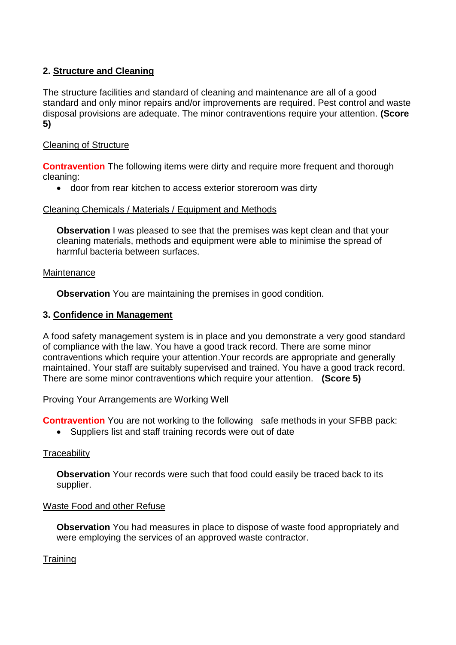# **2. Structure and Cleaning**

The structure facilities and standard of cleaning and maintenance are all of a good standard and only minor repairs and/or improvements are required. Pest control and waste disposal provisions are adequate. The minor contraventions require your attention. **(Score 5)**

# Cleaning of Structure

**Contravention** The following items were dirty and require more frequent and thorough cleaning:

door from rear kitchen to access exterior storeroom was dirty

Cleaning Chemicals / Materials / Equipment and Methods

**Observation** I was pleased to see that the premises was kept clean and that your cleaning materials, methods and equipment were able to minimise the spread of harmful bacteria between surfaces.

# **Maintenance**

**Observation** You are maintaining the premises in good condition.

#### **3. Confidence in Management**

A food safety management system is in place and you demonstrate a very good standard of compliance with the law. You have a good track record. There are some minor contraventions which require your attention.Your records are appropriate and generally maintained. Your staff are suitably supervised and trained. You have a good track record. There are some minor contraventions which require your attention. **(Score 5)**

#### Proving Your Arrangements are Working Well

**Contravention** You are not working to the following safe methods in your SFBB pack:

• Suppliers list and staff training records were out of date

# **Traceability**

**Observation** Your records were such that food could easily be traced back to its supplier.

#### Waste Food and other Refuse

**Observation** You had measures in place to dispose of waste food appropriately and were employing the services of an approved waste contractor.

# **Training**